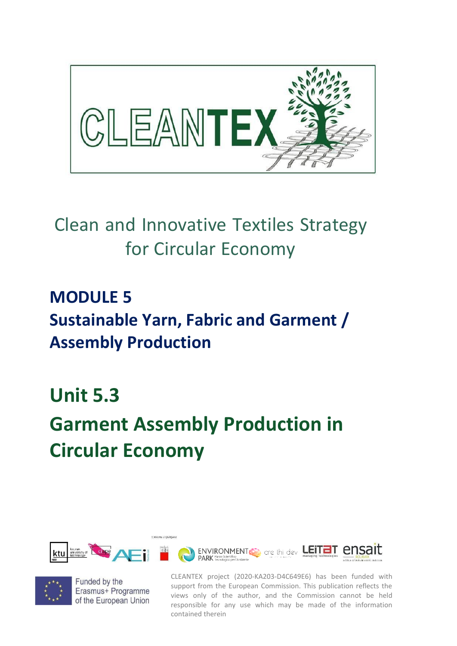

## Clean and Innovative Textiles Strategy for Circular Economy

#### **MODULE 5 Sustainable Yarn, Fabric and Garment / Assembly Production**

### **Unit 5.3**

# **Garment Assembly Production in Circular Economy**





Funded by the Erasmus+ Programme of the European Union

CLEANTEX project (2020-KA203-D4C649E6) has been funded with support from the European Commission. This publication reflects the views only of the author, and the Commission cannot be held responsible for any use which may be made of the information contained therein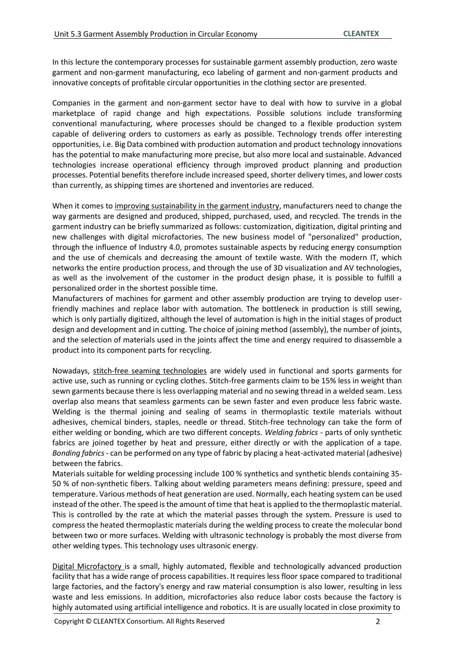In this lecture the contemporary processes for sustainable garment assembly production, zero waste garment and non-garment manufacturing, eco labeling of garment and non-garment products and innovative concepts of profitable circular opportunities in the clothing sector are presented.

Companies in the garment and non-garment sector have to deal with how to survive in a global marketplace of rapid change and high expectations. Possible solutions include transforming conventional manufacturing, where processes should be changed to a flexible production system capable of delivering orders to customers as early as possible. Technology trends offer interesting opportunities, i.e. Big Data combined with production automation and product technology innovations has the potential to make manufacturing more precise, but also more local and sustainable. Advanced technologies increase operational efficiency through improved product planning and production processes. Potential benefits therefore include increased speed, shorter delivery times, and lower costs than currently, as shipping times are shortened and inventories are reduced.

When it comes to improving sustainability in the garment industry, manufacturers need to change the way garments are designed and produced, shipped, purchased, used, and recycled. The trends in the garment industry can be briefly summarized as follows: customization, digitization, digital printing and new challenges with digital microfactories. The new business model of "personalized" production, through the influence of Industry 4.0, promotes sustainable aspects by reducing energy consumption and the use of chemicals and decreasing the amount of textile waste. With the modern IT, which networks the entire production process, and through the use of 3D visualization and AV technologies, as well as the involvement of the customer in the product design phase, it is possible to fulfill a personalized order in the shortest possible time.

Manufacturers of machines for garment and other assembly production are trying to develop userfriendly machines and replace labor with automation. The bottleneck in production is still sewing, which is only partially digitized, although the level of automation is high in the initial stages of product design and development and in cutting. The choice of joining method (assembly), the number of joints, and the selection of materials used in the joints affect the time and energy required to disassemble a product into its component parts for recycling.

Nowadays, stitch-free seaming technologies are widely used in functional and sports garments for active use, such as running or cycling clothes. Stitch-free garments claim to be 15% less in weight than sewn garments because there is less overlapping material and no sewing thread in a welded seam. Less overlap also means that seamless garments can be sewn faster and even produce less fabric waste. Welding is the thermal joining and sealing of seams in thermoplastic textile materials without adhesives, chemical binders, staples, needle or thread. Stitch-free technology can take the form of either welding or bonding, which are two different concepts. *Welding fabrics* - parts of only synthetic fabrics are joined together by heat and pressure, either directly or with the application of a tape. *Bonding fabrics*- can be performed on any type of fabric by placing a heat-activated material (adhesive) between the fabrics.

Materials suitable for welding processing include 100 % synthetics and synthetic blends containing 35- 50 % of non-synthetic fibers. Talking about welding parameters means defining: pressure, speed and temperature. Various methods of heat generation are used. Normally, each heating system can be used instead of the other. The speed isthe amount of time that heat is applied to the thermoplastic material. This is controlled by the rate at which the material passes through the system. Pressure is used to compress the heated thermoplastic materials during the welding process to create the molecular bond between two or more surfaces. Welding with ultrasonic technology is probably the most diverse from other welding types. This technology uses ultrasonic energy.

Digital Microfactory is a small, highly automated, flexible and technologically advanced production facility that has a wide range of process capabilities. It requires less floor space compared to traditional large factories, and the factory's energy and raw material consumption is also lower, resulting in less waste and less emissions. In addition, microfactories also reduce labor costs because the factory is highly automated using artificial intelligence and robotics. It is are usually located in close proximity to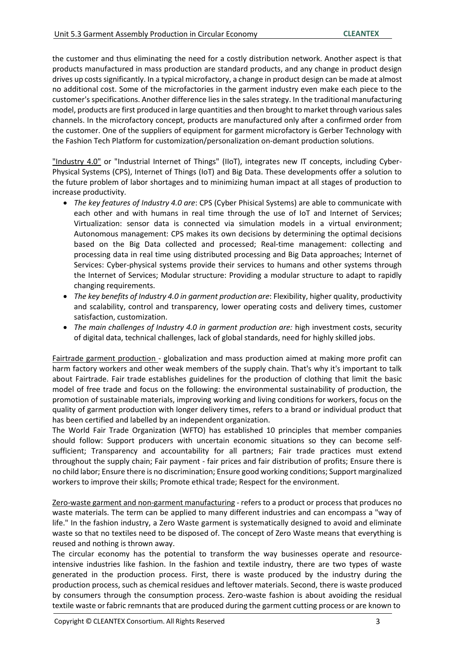the customer and thus eliminating the need for a costly distribution network. Another aspect is that products manufactured in mass production are standard products, and any change in product design drives up costs significantly. In a typical microfactory, a change in product design can be made at almost no additional cost. Some of the microfactories in the garment industry even make each piece to the customer'sspecifications. Another difference lies in the sales strategy. In the traditional manufacturing model, products are first produced in large quantities and then brought to market through varioussales channels. In the microfactory concept, products are manufactured only after a confirmed order from the customer. One of the suppliers of equipment for garment microfactory is Gerber Technology with the Fashion Tech Platform for customization/personalization on-demant production solutions.

"Industry 4.0" or "Industrial Internet of Things" (IIoT), integrates new IT concepts, including Cyber-Physical Systems (CPS), Internet of Things (IoT) and Big Data. These developments offer a solution to the future problem of labor shortages and to minimizing human impact at all stages of production to increase productivity.

- *The key features of Industry 4.0 are*: CPS (Cyber Phisical Systems) are able to communicate with each other and with humans in real time through the use of IoT and Internet of Services; Virtualization: sensor data is connected via simulation models in a virtual environment; Autonomous management: CPS makes its own decisions by determining the optimal decisions based on the Big Data collected and processed; Real-time management: collecting and processing data in real time using distributed processing and Big Data approaches; Internet of Services: Cyber-physical systems provide their services to humans and other systems through the Internet of Services; Modular structure: Providing a modular structure to adapt to rapidly changing requirements.
- *The key benefits of Industry 4.0 in garment production are*: Flexibility, higher quality, productivity and scalability, control and transparency, lower operating costs and delivery times, customer satisfaction, customization.
- *The main challenges of Industry 4.0 in garment production are:* high investment costs, security of digital data, technical challenges, lack of global standards, need for highly skilled jobs.

Fairtrade garment production - globalization and mass production aimed at making more profit can harm factory workers and other weak members of the supply chain. That's why it's important to talk about Fairtrade. Fair trade establishes guidelines for the production of clothing that limit the basic model of free trade and focus on the following: the environmental sustainability of production, the promotion of sustainable materials, improving working and living conditions for workers, focus on the quality of garment production with longer delivery times, refers to a brand or individual product that has been certified and labelled by an independent organization.

The World Fair Trade Organization (WFTO) has established 10 principles that member companies should follow: Support producers with uncertain economic situations so they can become selfsufficient; Transparency and accountability for all partners; Fair trade practices must extend throughout the supply chain; Fair payment - fair prices and fair distribution of profits; Ensure there is no child labor; Ensure there is no discrimination; Ensure good working conditions; Support marginalized workers to improve their skills; Promote ethical trade; Respect for the environment.

Zero-waste garment and non-garment manufacturing - refers to a product or process that produces no waste materials. The term can be applied to many different industries and can encompass a "way of life." In the fashion industry, a Zero Waste garment is systematically designed to avoid and eliminate waste so that no textiles need to be disposed of. The concept of Zero Waste means that everything is reused and nothing is thrown away.

The circular economy has the potential to transform the way businesses operate and resourceintensive industries like fashion. In the fashion and textile industry, there are two types of waste generated in the production process. First, there is waste produced by the industry during the production process, such as chemical residues and leftover materials. Second, there is waste produced by consumers through the consumption process. Zero-waste fashion is about avoiding the residual textile waste or fabric remnants that are produced during the garment cutting process or are known to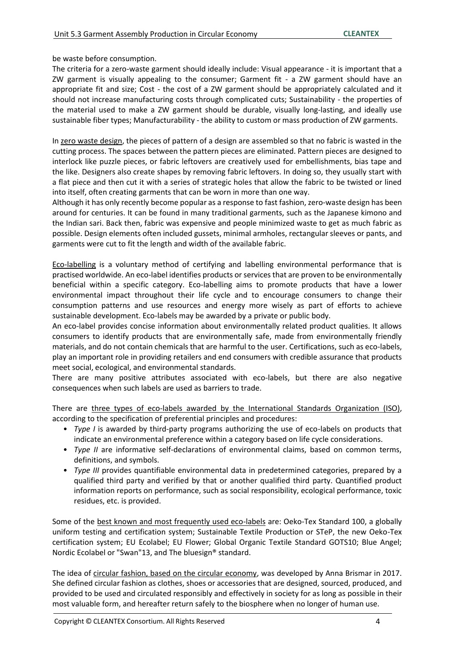be waste before consumption.

The criteria for a zero-waste garment should ideally include: Visual appearance - it is important that a ZW garment is visually appealing to the consumer; Garment fit - a ZW garment should have an appropriate fit and size; Cost - the cost of a ZW garment should be appropriately calculated and it should not increase manufacturing costs through complicated cuts; Sustainability - the properties of the material used to make a ZW garment should be durable, visually long-lasting, and ideally use sustainable fiber types; Manufacturability - the ability to custom or mass production of ZW garments.

In zero waste design, the pieces of pattern of a design are assembled so that no fabric is wasted in the cutting process. The spaces between the pattern pieces are eliminated. Pattern pieces are designed to interlock like puzzle pieces, or fabric leftovers are creatively used for embellishments, bias tape and the like. Designers also create shapes by removing fabric leftovers. In doing so, they usually start with a flat piece and then cut it with a series of strategic holes that allow the fabric to be twisted or lined into itself, often creating garments that can be worn in more than one way.

Although it has only recently become popular as a response to fast fashion, zero-waste design has been around for centuries. It can be found in many traditional garments, such as the Japanese kimono and the Indian sari. Back then, fabric was expensive and people minimized waste to get as much fabric as possible. Design elements often included gussets, minimal armholes, rectangular sleeves or pants, and garments were cut to fit the length and width of the available fabric.

Eco-labelling is a voluntary method of certifying and labelling environmental performance that is practised worldwide. An eco-label identifies products orservices that are proven to be environmentally beneficial within a specific category. Eco-labelling aims to promote products that have a lower environmental impact throughout their life cycle and to encourage consumers to change their consumption patterns and use resources and energy more wisely as part of efforts to achieve sustainable development. Eco-labels may be awarded by a private or public body.

An eco-label provides concise information about environmentally related product qualities. It allows consumers to identify products that are environmentally safe, made from environmentally friendly materials, and do not contain chemicals that are harmful to the user. Certifications, such as eco-labels, play an important role in providing retailers and end consumers with credible assurance that products meet social, ecological, and environmental standards.

There are many positive attributes associated with eco-labels, but there are also negative consequences when such labels are used as barriers to trade.

There are three types of eco-labels awarded by the International Standards Organization (ISO), according to the specification of preferential principles and procedures:

- *Type I* is awarded by third-party programs authorizing the use of eco-labels on products that indicate an environmental preference within a category based on life cycle considerations.
- *Type II* are informative self-declarations of environmental claims, based on common terms, definitions, and symbols.
- *Type III* provides quantifiable environmental data in predetermined categories, prepared by a qualified third party and verified by that or another qualified third party. Quantified product information reports on performance, such as social responsibility, ecological performance, toxic residues, etc. is provided.

Some of the best known and most frequently used eco-labels are: Oeko-Tex Standard 100, a globally uniform testing and certification system; Sustainable Textile Production or STeP, the new Oeko-Tex certification system; EU Ecolabel; EU Flower; Global Organic Textile Standard GOTS10; Blue Angel; Nordic Ecolabel or "Swan"13, and The bluesign® standard.

The idea of circular fashion, based on the circular economy, was developed by Anna Brismar in 2017. She defined circular fashion as clothes, shoes or accessories that are designed, sourced, produced, and provided to be used and circulated responsibly and effectively in society for as long as possible in their most valuable form, and hereafter return safely to the biosphere when no longer of human use.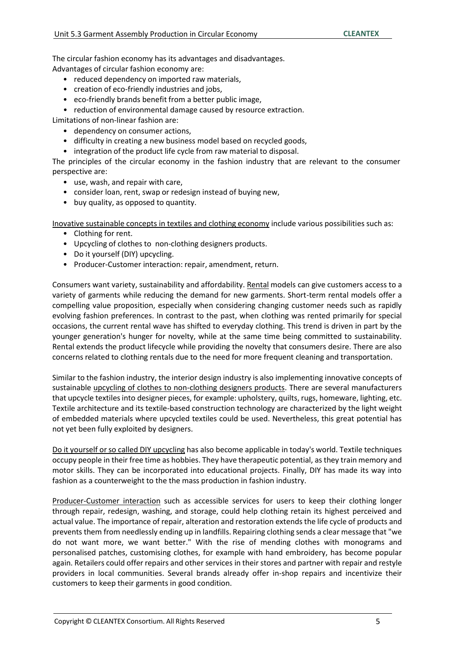The circular fashion economy has its advantages and disadvantages. Advantages of circular fashion economy are:

- reduced dependency on imported raw materials,
- creation of eco-friendly industries and jobs,
- eco-friendly brands benefit from a better public image,
- reduction of environmental damage caused by resource extraction.

Limitations of non-linear fashion are:

- dependency on consumer actions,
- difficulty in creating a new business model based on recycled goods,
- integration of the product life cycle from raw material to disposal.

The principles of the circular economy in the fashion industry that are relevant to the consumer perspective are:

- use, wash, and repair with care,
- consider loan, rent, swap or redesign instead of buying new,
- buy quality, as opposed to quantity.

Inovative sustainable concepts in textiles and clothing economy include various possibilities such as:

- Clothing for rent.
- Upcycling of clothes to non-clothing designers products.
- Do it yourself (DIY) upcycling.
- Producer-Customer interaction: repair, amendment, return.

Consumers want variety, sustainability and affordability. Rental models can give customers access to a variety of garments while reducing the demand for new garments. Short-term rental models offer a compelling value proposition, especially when considering changing customer needs such as rapidly evolving fashion preferences. In contrast to the past, when clothing was rented primarily for special occasions, the current rental wave has shifted to everyday clothing. This trend is driven in part by the younger generation's hunger for novelty, while at the same time being committed to sustainability. Rental extends the product lifecycle while providing the novelty that consumers desire. There are also concerns related to clothing rentals due to the need for more frequent cleaning and transportation.

Similar to the fashion industry, the interior design industry is also implementing innovative concepts of sustainable upcycling of clothes to non-clothing designers products. There are several manufacturers that upcycle textilesinto designer pieces, for example: upholstery, quilts, rugs, homeware, lighting, etc. Textile architecture and its textile-based construction technology are characterized by the light weight of embedded materials where upcycled textiles could be used. Nevertheless, this great potential has not yet been fully exploited by designers.

Do it yourself or so called DIY upcycling has also become applicable in today's world. Textile techniques occupy people in their free time as hobbies. They have therapeutic potential, as they train memory and motor skills. They can be incorporated into educational projects. Finally, DIY has made its way into fashion as a counterweight to the the mass production in fashion industry.

Producer-Customer interaction such as accessible services for users to keep their clothing longer through repair, redesign, washing, and storage, could help clothing retain its highest perceived and actual value. The importance of repair, alteration and restoration extends the life cycle of products and prevents them from needlessly ending up in landfills. Repairing clothing sends a clear message that "we do not want more, we want better." With the rise of mending clothes with monograms and personalised patches, customising clothes, for example with hand embroidery, has become popular again. Retailers could offer repairs and other services in their stores and partner with repair and restyle providers in local communities. Several brands already offer in-shop repairs and incentivize their customers to keep their garments in good condition.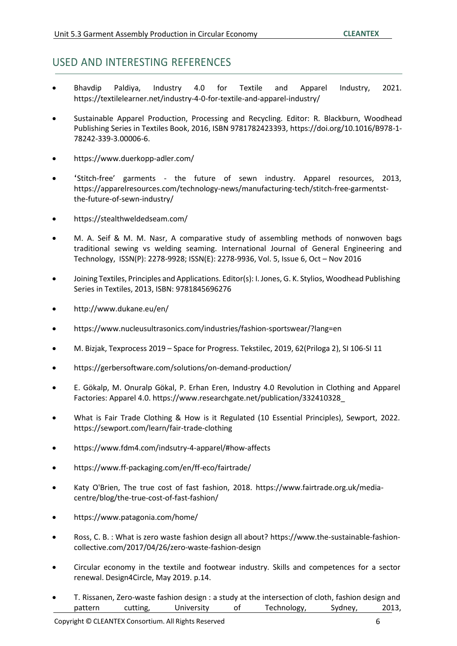#### USED AND INTERESTING REFERENCES

- Bhavdip Paldiya, Industry 4.0 for Textile and Apparel Industry, 2021. https://textilelearner.net/industry-4-0-for-textile-and-apparel-industry/
- Sustainable Apparel Production, Processing and Recycling. Editor: R. Blackburn, Woodhead Publishing Series in Textiles Book, 2016, ISBN 9781782423393[, https://doi.org/10.1016/B978-1-](https://doi.org/10.1016/B978-1-78242-339-3.00006-6) [78242-339-3.00006-6.](https://doi.org/10.1016/B978-1-78242-339-3.00006-6)
- <https://www.duerkopp-adler.com/>
- 'Stitch-free' garments the future of sewn industry. Apparel resources, 2013, [https://apparelresources.com/technology-news/manufacturing-tech/stitch-free-garmentst](https://apparelresources.com/technology-news/manufacturing-tech/stitch-free-garmentst-the-future-of-sewn-industry/)[the-future-of-sewn-industry/](https://apparelresources.com/technology-news/manufacturing-tech/stitch-free-garmentst-the-future-of-sewn-industry/)
- https://stealthweldedseam.com/
- M. A. Seif & M. M. Nasr, A comparative study of assembling methods of nonwoven bags traditional sewing vs welding seaming. International Journal of General Engineering and Technology, ISSN(P): 2278-9928; ISSN(E): 2278-9936, Vol. 5, Issue 6, Oct – Nov 2016
- Joining Textiles, Principles and Applications. Editor(s): I.Jones, G. K. Stylios, Woodhead Publishing Series in Textiles, 2013, ISBN: 9781845696276
- <http://www.dukane.eu/en/>
- https:/[/www.nucleusultrasonics.com/industries/fashion-sportswear/?lang=en](http://www.nucleusultrasonics.com/industries/fashion-sportswear/?lang=en)
- M. Bizjak, Texprocess 2019 Space for Progress. Tekstilec, 2019, 62(Priloga 2), SI 106-SI 11
- https://gerbersoftware.com/solutions/on-demand-production/
- E. Gökalp, M. Onuralp Gökal, P. Erhan Eren, Industry 4.0 Revolution in Clothing and Apparel Factories: Apparel 4.0. https:/[/www.researchgate.net/publication/332410328\\_](http://www.researchgate.net/publication/332410328_)
- What is Fair Trade Clothing & How is it Regulated (10 Essential Principles), Sewport, 2022. https://sewport.com/learn/fair-trade-clothing
- https:/[/www.fdm4.com/indsutry-4-apparel/#how-affects](http://www.fdm4.com/indsutry-4-apparel/#how-affects)
- https:/[/www.ff-packaging.com/en/ff-eco/fairtrade/](http://www.ff-packaging.com/en/ff-eco/fairtrade/)
- Katy O'Brien, The true cost of fast fashion, 2018. https:/[/www.fairtrade.org.uk/media](http://www.fairtrade.org.uk/media-)centre/blog/the-true-cost-of-fast-fashion/
- https:/[/www.patagonia.com/home/](http://www.patagonia.com/home/)
- Ross, C. B. : What is zero waste fashion design all about? https://www.the-sustainable-fashioncollective.com/2017/04/26/zero-waste-fashion-design
- Circular economy in the textile and footwear industry. Skills and competences for a sector renewal. Design4Circle, May 2019. p.14.
- T. Rissanen, Zero-waste fashion design : a study at the intersection of cloth, fashion design and pattern cutting, University of Technology, Sydney, 2013,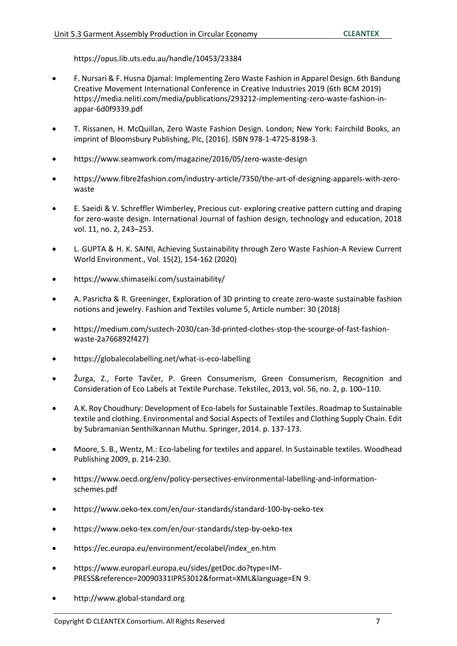https://opus.lib.uts.edu.au/handle/10453/23384

- F. Nursari & F. Husna Djamal: Implementing Zero Waste Fashion in Apparel Design. 6th Bandung Creative Movement International Conference in Creative Industries 2019 (6th BCM 2019) https://media.neliti.com/media/publications/293212-implementing-zero-waste-fashion-inappar-6d0f9339.pdf
- T. Rissanen, H. McQuillan, Zero Waste Fashion Design. London; New York: Fairchild Books, an imprint of Bloomsbury Publishing, Plc, [2016]. ISBN 978-1-4725-8198-3.
- https:/[/www.seamwork.com/magazine/2016/05/zero-waste-design](http://www.seamwork.com/magazine/2016/05/zero-waste-design)
- https:/[/www.fibre2fashion.com/industry-article/7350/the-art-of-designing-apparels-with-zero](http://www.fibre2fashion.com/industry-article/7350/the-art-of-designing-apparels-with-zero-)waste
- E. Saeidi & V. Schreffler Wimberley, Precious cut- exploring creative pattern cutting and draping for zero-waste design. International Journal of fashion design, technology and education, 2018 vol. 11, no. 2, 243–253.
- L. GUPTA & H. K. SAINI, Achieving Sustainability through Zero Waste Fashion-A Review Current World Environment., Vol. 15(2), 154-162 (2020)
- https:/[/www.shimaseiki.com/sustainability/](http://www.shimaseiki.com/sustainability/)
- A. Pasricha & R. Greeninger, Exploration of 3D printing to create zero-waste sustainable fashion notions and jewelry. Fashion and Textiles volume 5, Article number: 30 (2018)
- https://medium.com/sustech-2030/can-3d-printed-clothes-stop-the-scourge-of-fast-fashionwaste-2a766892f427)
- https://globalecolabelling.net/what-is-eco-labelling
- Žurga, Z., Forte Tavčer, P. Green Consumerism, Green Consumerism, Recognition and Consideration of Eco Labels at Textile Purchase. Tekstilec, 2013, vol. 56, no. 2, p. 100–110.
- A.K. Roy Choudhury: Development of Eco-labels for Sustainable Textiles. Roadmap to Sustainable textile and clothing. Environmental and Social Aspects of Textiles and Clothing Supply Chain. Edit by Subramanian Senthilkannan Muthu. Springer, 2014. p. 137-173.
- Moore, S. B., Wentz, M.: Eco-labeling for textiles and apparel. In Sustainable textiles. Woodhead Publishing 2009, p. 214-230.
- https:/[/www.oecd.org/env/policy-persectives-environmental-labelling-and-information](http://www.oecd.org/env/policy-persectives-environmental-labelling-and-information-)schemes.pdf
- https:/[/www.oeko-tex.com/en/our-standards/standard-100-by-oeko-tex](http://www.oeko-tex.com/en/our-standards/standard-100-by-oeko-tex)
- https:/[/www.oeko-tex.com/en/our-standards/step-by-oeko-tex](http://www.oeko-tex.com/en/our-standards/step-by-oeko-tex)
- https://ec.europa.eu/environment/ecolabel/index\_en.htm
- https:/[/www.europarl.europa.eu/sides/getDoc.do?type=IM-](http://www.europarl.europa.eu/sides/getDoc.do?type=IM-)PRESS&reference=20090331IPR53012&format=XML&language=EN 9.
- [http://www.global-standard.org](http://www.global-standard.org/)